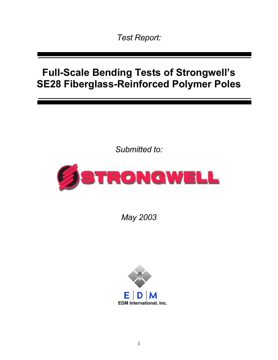*Test Report:* 

# **Full-Scale Bending Tests of Strongwell's SE28 Fiberglass-Reinforced Polymer Poles**

*Submitted to:* 



*May 2003* 

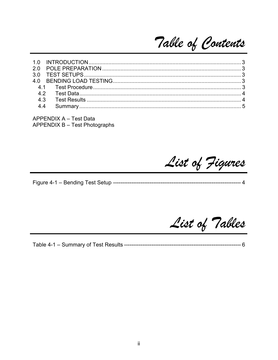Table of Contents

APPENDIX A - Test Data **APPENDIX B - Test Photographs** 

List of Figures

List of Tables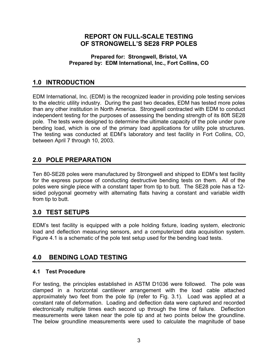## **REPORT ON FULL-SCALE TESTING OF STRONGWELL'S SE28 FRP POLES**

#### **Prepared for: Strongwell, Bristol, VA Prepared by: EDM International, Inc., Fort Collins, CO**

# **1.0 INTRODUCTION**

EDM International, Inc. (EDM) is the recognized leader in providing pole testing services to the electric utility industry. During the past two decades, EDM has tested more poles than any other institution in North America. Strongwell contracted with EDM to conduct independent testing for the purposes of assessing the bending strength of its 80ft SE28 pole. The tests were designed to determine the ultimate capacity of the pole under pure bending load, which is one of the primary load applications for utility pole structures. The testing was conducted at EDM's laboratory and test facility in Fort Collins, CO, between April 7 through 10, 2003.

## **2.0 POLE PREPARATION**

Ten 80-SE28 poles were manufactured by Strongwell and shipped to EDM's test facility for the express purpose of conducting destructive bending tests on them. All of the poles were single piece with a constant taper from tip to butt. The SE28 pole has a 12 sided polygonal geometry with alternating flats having a constant and variable width from tip to butt.

# **3.0 TEST SETUPS**

EDM's test facility is equipped with a pole holding fixture, loading system, electronic load and deflection measuring sensors, and a computerized data acquisition system. Figure 4.1 is a schematic of the pole test setup used for the bending load tests.

# **4.0 BENDING LOAD TESTING**

#### **4.1 Test Procedure**

For testing, the principles established in ASTM D1036 were followed. The pole was clamped in a horizontal cantilever arrangement with the load cable attached approximately two feet from the pole tip (refer to Fig. 3.1). Load was applied at a constant rate of deformation. Loading and deflection data were captured and recorded electronically multiple times each second up through the time of failure. Deflection measurements were taken near the pole tip and at two points below the groundline. The below groundline measurements were used to calculate the magnitude of base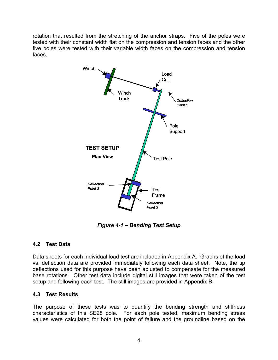rotation that resulted from the stretching of the anchor straps. Five of the poles were tested with their constant width flat on the compression and tension faces and the other five poles were tested with their variable width faces on the compression and tension faces.



*Figure 4-1 – Bending Test Setup* 

#### **4.2 Test Data**

Data sheets for each individual load test are included in Appendix A. Graphs of the load vs. deflection data are provided immediately following each data sheet. Note, the tip deflections used for this purpose have been adjusted to compensate for the measured base rotations. Other test data include digital still images that were taken of the test setup and following each test. The still images are provided in Appendix B.

#### **4.3 Test Results**

The purpose of these tests was to quantify the bending strength and stiffness characteristics of this SE28 pole. For each pole tested, maximum bending stress values were calculated for both the point of failure and the groundline based on the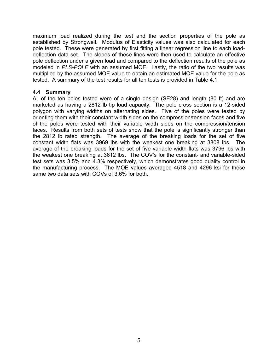maximum load realized during the test and the section properties of the pole as established by Strongwell. Modulus of Elasticity values was also calculated for each pole tested. These were generated by first fitting a linear regression line to each loaddeflection data set. The slopes of these lines were then used to calculate an effective pole deflection under a given load and compared to the deflection results of the pole as modeled in *PLS-POLE* with an assumed MOE. Lastly, the ratio of the two results was multiplied by the assumed MOE value to obtain an estimated MOE value for the pole as tested. A summary of the test results for all ten tests is provided in Table 4.1.

#### **4.4 Summary**

All of the ten poles tested were of a single design (SE28) and length (80 ft) and are marketed as having a 2812 lb tip load capacity. The pole cross section is a 12-sided polygon with varying widths on alternating sides. Five of the poles were tested by orienting them with their constant width sides on the compression/tension faces and five of the poles were tested with their variable width sides on the compression/tension faces. Results from both sets of tests show that the pole is significantly stronger than the 2812 lb rated strength. The average of the breaking loads for the set of five constant width flats was 3969 lbs with the weakest one breaking at 3808 lbs. The average of the breaking loads for the set of five variable width flats was 3796 lbs with the weakest one breaking at 3612 lbs. The COV's for the constant- and variable-sided test sets was 3.5% and 4.3% respectively, which demonstrates good quality control in the manufacturing process. The MOE values averaged 4518 and 4296 ksi for these same two data sets with COVs of 3.6% for both.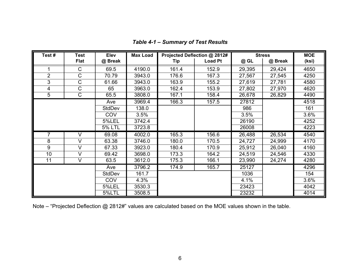| Test#          | <b>Test</b>             | Elev          | <b>Max Load</b> |       | Projected Deflection @ 2812# |        | <b>Stress</b> | <b>MOE</b> |
|----------------|-------------------------|---------------|-----------------|-------|------------------------------|--------|---------------|------------|
|                | <b>Flat</b>             | @ Break       |                 | Tip   | <b>Load Pt</b>               | @ GL   | @ Break       | (ksi)      |
|                | C                       | 69.5          | 4190.0          | 161.4 | 152.9                        | 29,395 | 29,424        | 4650       |
| $\overline{2}$ | C                       | 70.79         | 3943.0          | 176.6 | 167.3                        | 27,567 | 27,545        | 4250       |
| 3              | $\mathsf C$             | 61.66         | 3943.0          | 163.9 | 155.2                        | 27,619 | 27,781        | 4580       |
| 4              | $\mathsf C$             | 65            | 3963.0          | 162.4 | 153.9                        | 27,802 | 27,970        | 4620       |
| $\overline{5}$ | C                       | 65.5          | 3808.0          | 167.1 | 158.4                        | 26,678 | 26,829        | 4490       |
|                |                         | Ave           | 3969.4          | 166.3 | 157.5                        | 27812  |               | 4518       |
|                |                         | <b>StdDev</b> | 138.0           |       |                              | 986    |               | 161        |
|                |                         | COV           | 3.5%            |       |                              | 3.5%   |               | 3.6%       |
|                |                         | 5%LEL         | 3742.4          |       |                              | 26190  |               | 4252       |
|                |                         | <b>5% LTL</b> | 3723.8          |       |                              | 26008  |               | 4223       |
| $\overline{7}$ | $\vee$                  | 69.08         | 4002.0          | 165.3 | 156.6                        | 26,488 | 26,534        | 4540       |
| 8              | $\vee$                  | 63.38         | 3746.0          | 180.0 | 170.5                        | 24,727 | 24,999        | 4170       |
| 9              | $\vee$                  | 67.33         | 3923.0          | 180.4 | 170.9                        | 25,912 | 26,040        | 4160       |
| 10             | $\vee$                  | 69.42         | 3698.0          | 173.3 | 164.2                        | 24,519 | 24,546        | 4330       |
| 11             | $\overline{\mathsf{V}}$ | 63.5          | 3612.0          | 175.3 | 166.1                        | 23,990 | 24,274        | 4280       |
|                |                         | Ave           | 3796.2          | 174.9 | 165.7                        | 25127  |               | 4296       |
|                |                         | <b>StdDev</b> | 161.7           |       |                              | 1036   |               | 154        |
|                |                         | COV           | 4.3%            |       |                              | 4.1%   |               | 3.6%       |
|                |                         | 5%LEL         | 3530.3          |       |                              | 23423  |               | 4042       |
|                |                         | 5%LTL         | 3508.5          |       |                              | 23232  |               | 4014       |

*Table 4-1 – Summary of Test Results* 

Note – "Projected Deflection @ 2812#" values are calculated based on the MOE values shown in the table.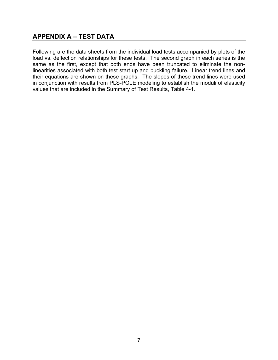## **APPENDIX A – TEST DATA**

Following are the data sheets from the individual load tests accompanied by plots of the load vs. deflection relationships for these tests. The second graph in each series is the same as the first, except that both ends have been truncated to eliminate the nonlinearities associated with both test start up and buckling failure. Linear trend lines and their equations are shown on these graphs. The slopes of these trend lines were used in conjunction with results from PLS-POLE modeling to establish the moduli of elasticity values that are included in the Summary of Test Results, Table 4-1.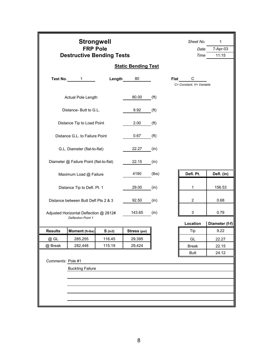|                   | <b>Strongwell</b><br><b>FRP Pole</b><br><b>Destructive Bending Tests</b> |           |                            |                   | Sheet No.<br>Date<br>Time | $\mathbf{1}$<br>7-Apr-03<br>11:15 |  |                |
|-------------------|--------------------------------------------------------------------------|-----------|----------------------------|-------------------|---------------------------|-----------------------------------|--|----------------|
|                   |                                                                          |           | <b>Static Bending Test</b> |                   |                           |                                   |  |                |
| Test No.          | $\mathbf{1}$                                                             | Length    | 80                         |                   | Flat                      | C<br>C= Constant. V= Variable     |  |                |
|                   | Actual Pole Length                                                       |           | 80.00                      | (f <sup>t</sup> ) |                           |                                   |  |                |
|                   | Distance-Butt to G.L.                                                    |           | 9.92                       | (f <sup>t</sup> ) |                           |                                   |  |                |
|                   | Distance Tip to Load Point                                               |           | 2.00                       | (f <sup>t</sup> ) |                           |                                   |  |                |
|                   | Distance G.L. to Failure Point                                           |           | 0.67                       | (f <sup>t</sup> ) |                           |                                   |  |                |
|                   | G.L. Diameter (flat-to-flat)                                             |           | 22.27                      | (in)              |                           |                                   |  |                |
|                   | Diameter @ Failure Point (flat-to-flat)                                  |           | 22.15                      | (in)              |                           |                                   |  |                |
|                   | Maximum Load @ Failure                                                   |           | 4190                       | (lbs)             |                           | Defl. Pt.                         |  | Defl. (in)     |
|                   | Distance Tip to Defl. Pt. 1                                              |           | 29.00                      | (in)              |                           | 1                                 |  | 156.53         |
|                   | Distance between Butt Defl Pts 2 & 3                                     |           | 92.50                      | (in)              |                           | 2                                 |  | 0.68           |
|                   | Adjusted Horizontal Deflection @ 2812#<br><b>Deflection Point 1</b>      |           | 143.65                     | (in)              |                           | 3                                 |  | 0.79           |
|                   |                                                                          |           |                            |                   |                           | Location                          |  | Diameter (f-f) |
| <b>Results</b>    | Moment (ft-Ibs)                                                          | $S$ (in3) | Stress (psi)               |                   |                           | Tip                               |  | 9.22           |
| @ GL              | 285,255                                                                  | 116.45    | 29,395                     |                   |                           | GL                                |  | 22.27          |
| @ Break           | 282,448                                                                  | 115.19    | 29,424                     |                   |                           | <b>Break</b>                      |  | 22.15          |
|                   |                                                                          |           |                            |                   |                           | Butt                              |  | 24.12          |
| Comments: Pole #1 |                                                                          |           |                            |                   |                           |                                   |  |                |
|                   | <b>Buckling Failure</b>                                                  |           |                            |                   |                           |                                   |  |                |
|                   |                                                                          |           |                            |                   |                           |                                   |  |                |
|                   |                                                                          |           |                            |                   |                           |                                   |  |                |
|                   |                                                                          |           |                            |                   |                           |                                   |  |                |
|                   |                                                                          |           |                            |                   |                           |                                   |  |                |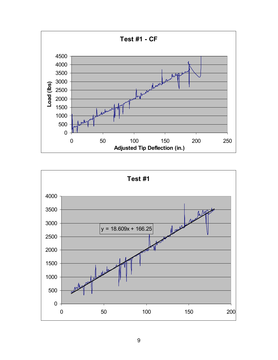

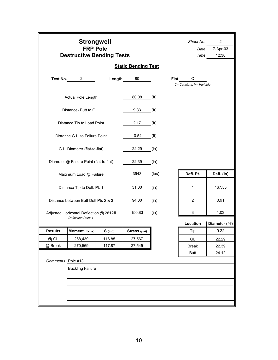|                    | <b>Strongwell</b><br><b>FRP Pole</b><br><b>Destructive Bending Tests</b> |           |                            | Sheet No.<br>Date<br>Time | $\overline{2}$<br>7-Apr-03<br>12:30 |                               |                |
|--------------------|--------------------------------------------------------------------------|-----------|----------------------------|---------------------------|-------------------------------------|-------------------------------|----------------|
|                    |                                                                          |           | <b>Static Bending Test</b> |                           |                                     |                               |                |
|                    | Test No. 2                                                               | Length    | 80                         |                           | Flat                                | C<br>C= Constant, V= Variable |                |
|                    | Actual Pole Length                                                       |           | 80.08                      | (f <sup>t</sup> )         |                                     |                               |                |
|                    | Distance- Butt to G.L.                                                   |           | 9.83                       | (f <sup>t</sup> )         |                                     |                               |                |
|                    | Distance Tip to Load Point                                               |           | 2.17                       | (f <sup>t</sup> )         |                                     |                               |                |
|                    | Distance G.L. to Failure Point                                           |           | $-0.54$                    | (f <sup>t</sup> )         |                                     |                               |                |
|                    | G.L. Diameter (flat-to-flat)                                             |           | 22.29                      | (in)                      |                                     |                               |                |
|                    | Diameter @ Failure Point (flat-to-flat)                                  |           | 22.39                      | (in)                      |                                     |                               |                |
|                    | Maximum Load @ Failure                                                   |           | 3943                       | (lbs)                     |                                     | Defl. Pt.                     | Defl. (in)     |
|                    | Distance Tip to Defl. Pt. 1                                              |           | 31.00                      | (in)                      |                                     | 1                             | 167.55         |
|                    | Distance between Butt Defl Pts 2 & 3                                     |           | 94.00                      | (in)                      |                                     | $\overline{2}$                | 0.91           |
|                    | Adjusted Horizontal Deflection @ 2812#<br><b>Deflection Point 1</b>      |           | 150.83                     | (in)                      |                                     | 3                             | 1.03           |
|                    |                                                                          |           |                            |                           |                                     | Location                      | Diameter (f-f) |
| <b>Results</b>     | Moment (ft-Ibs)                                                          | $S$ (in3) | Stress (psi)               |                           |                                     | Tip                           | 9.22           |
| @ GL               | 268,439                                                                  | 116.85    | 27,567                     |                           |                                     | GL                            | 22.29          |
| @ Break            | 270,569                                                                  | 117.87    | 27,545                     |                           |                                     | <b>Break</b>                  | 22.39          |
|                    |                                                                          |           |                            |                           |                                     | Butt                          | 24.12          |
| Comments: Pole #13 |                                                                          |           |                            |                           |                                     |                               |                |
|                    | <b>Buckling Failure</b>                                                  |           |                            |                           |                                     |                               |                |
|                    |                                                                          |           |                            |                           |                                     |                               |                |
|                    |                                                                          |           |                            |                           |                                     |                               |                |
|                    |                                                                          |           |                            |                           |                                     |                               |                |
|                    |                                                                          |           |                            |                           |                                     |                               |                |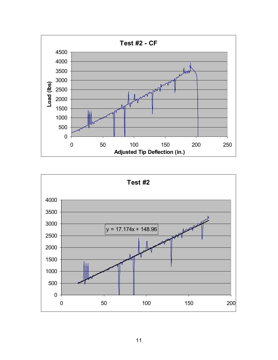

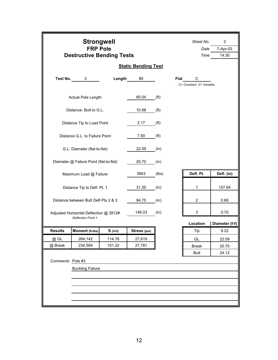|                | <b>Strongwell</b><br><b>FRP Pole</b><br><b>Destructive Bending Tests</b> |           |                            |                   | Sheet No.<br>Date<br>Time | 3<br>7-Apr-03<br>14:30        |                |
|----------------|--------------------------------------------------------------------------|-----------|----------------------------|-------------------|---------------------------|-------------------------------|----------------|
|                |                                                                          |           | <b>Static Bending Test</b> |                   |                           |                               |                |
| Test No.       | 3                                                                        | Length    | 80                         |                   | Flat                      | С<br>C= Constant. V= Variable |                |
|                | Actual Pole Length                                                       |           | 80.04                      | (f <sup>t</sup> ) |                           |                               |                |
|                | Distance- Butt to G.L.                                                   |           | 10.88                      | (f <sup>t</sup> ) |                           |                               |                |
|                | Distance Tip to Load Point                                               |           | 2.17                       | (f <sup>t</sup> ) |                           |                               |                |
|                | Distance G.L. to Failure Point                                           |           | 7.50                       | (f <sup>t</sup> ) |                           |                               |                |
|                | G.L. Diameter (flat-to-flat)                                             |           | 22.09                      | (in)              |                           |                               |                |
|                | Diameter @ Failure Point (flat-to-flat)                                  |           | 20.70                      | (in)              |                           |                               |                |
|                | Maximum Load @ Failure                                                   |           | 3943                       | (lbs)             |                           | Defl. Pt.                     | Defl. (in)     |
|                | Distance Tip to Defl. Pt. 1                                              |           | 31.50                      | (in)              |                           | 1                             | 157.64         |
|                | Distance between Butt Defl Pts 2 & 3                                     |           | 94.75                      | (in)              |                           | $\overline{c}$                | 0.68           |
|                | Adjusted Horizontal Deflection @ 2812#                                   |           | 146.03                     | (in)              |                           | 3                             | 0.70           |
|                | <b>Deflection Point 1</b>                                                |           |                            |                   |                           | Location                      | Diameter (f-f) |
| <b>Results</b> | Moment (ft-Ibs)                                                          | $S$ (in3) | Stress (psi)               |                   |                           | Tip                           | 9.22           |
| @ GL           | 264,142                                                                  | 114.76    | 27,619                     |                   |                           | GL                            | 22.09          |
| @ Break        | 234,569                                                                  | 101.32    | 27,781                     |                   |                           | <b>Break</b>                  | 20.70          |
|                |                                                                          |           |                            |                   |                           | <b>Butt</b>                   | 24.12          |
|                | Comments: Pole #3                                                        |           |                            |                   |                           |                               |                |
|                |                                                                          |           |                            |                   |                           |                               |                |
|                | <b>Buckling Failure</b>                                                  |           |                            |                   |                           |                               |                |
|                |                                                                          |           |                            |                   |                           |                               |                |
|                |                                                                          |           |                            |                   |                           |                               |                |
|                |                                                                          |           |                            |                   |                           |                               |                |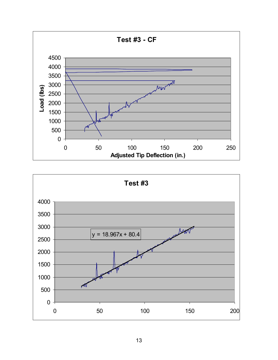

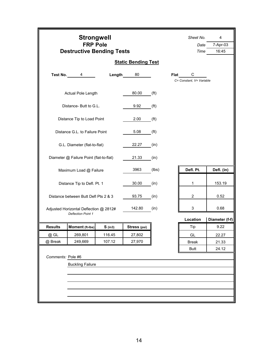|                                         | <b>Strongwell</b><br><b>FRP Pole</b><br><b>Destructive Bending Tests</b> |                            |                   |      |                               |                |  |  |  |
|-----------------------------------------|--------------------------------------------------------------------------|----------------------------|-------------------|------|-------------------------------|----------------|--|--|--|
|                                         |                                                                          | <b>Static Bending Test</b> |                   |      |                               |                |  |  |  |
| Test No.<br>4                           | Length                                                                   | 80                         |                   | Flat | С<br>C= Constant, V= Variable |                |  |  |  |
| Actual Pole Length                      |                                                                          | 80.00                      | (f <sup>t</sup> ) |      |                               |                |  |  |  |
| Distance- Butt to G.L.                  |                                                                          | 9.92                       | (f <sup>t</sup> ) |      |                               |                |  |  |  |
| Distance Tip to Load Point              |                                                                          | 2.00                       | (f <sup>t</sup> ) |      |                               |                |  |  |  |
| Distance G.L. to Failure Point          |                                                                          | 5.08                       | (f <sup>t</sup> ) |      |                               |                |  |  |  |
| G.L. Diameter (flat-to-flat)            |                                                                          | 22.27                      | (in)              |      |                               |                |  |  |  |
| Diameter @ Failure Point (flat-to-flat) |                                                                          | 21.33                      | (in)              |      |                               |                |  |  |  |
| Maximum Load @ Failure                  |                                                                          | 3963                       | (lbs)             |      | Defl. Pt.                     | Defl. (in)     |  |  |  |
| Distance Tip to Defl. Pt. 1             |                                                                          | 30.00                      | (in)              |      | 1                             | 153.19         |  |  |  |
|                                         |                                                                          |                            |                   |      |                               |                |  |  |  |
| Distance between Butt Defl Pts 2 & 3    |                                                                          | 93.75                      | (in)              |      | $\overline{c}$                | 0.52           |  |  |  |
| Adjusted Horizontal Deflection @ 2812#  |                                                                          | 142.80                     | (in)              |      | 3                             | 0.68           |  |  |  |
| <b>Deflection Point 1</b>               |                                                                          |                            |                   |      | Location                      | Diameter (f-f) |  |  |  |
| <b>Results</b><br>Moment (ft-Ibs)       | $S$ (in3)                                                                | Stress (psi)               |                   |      | Tip                           | 9.22           |  |  |  |
| @ GL<br>269,801                         | 116.45                                                                   | 27,802                     |                   |      | GL                            | 22.27          |  |  |  |
| 249,669<br>@ Break                      | 107.12                                                                   | 27,970                     |                   |      | <b>Break</b>                  | 21.33          |  |  |  |
|                                         |                                                                          |                            |                   |      | Butt                          | 24.12          |  |  |  |
| Comments: Pole #6                       |                                                                          |                            |                   |      |                               |                |  |  |  |
| <b>Buckling Failure</b>                 |                                                                          |                            |                   |      |                               |                |  |  |  |
|                                         |                                                                          |                            |                   |      |                               |                |  |  |  |
|                                         |                                                                          |                            |                   |      |                               |                |  |  |  |
|                                         |                                                                          |                            |                   |      |                               |                |  |  |  |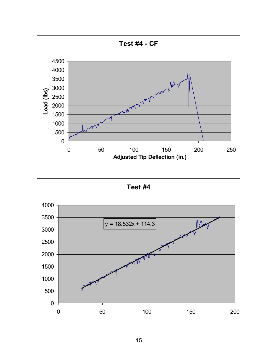

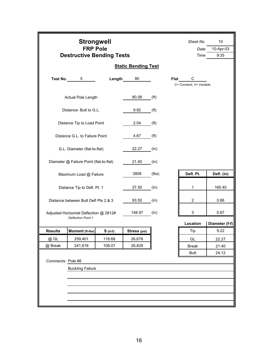|                   | <b>Strongwell</b><br><b>FRP Pole</b><br><b>Destructive Bending Tests</b> |           |                            | Sheet No.         | Date<br>Time | 10<br>10-Apr-03<br>9:35       |  |                |
|-------------------|--------------------------------------------------------------------------|-----------|----------------------------|-------------------|--------------|-------------------------------|--|----------------|
|                   |                                                                          |           | <b>Static Bending Test</b> |                   |              |                               |  |                |
|                   | Test No. 5                                                               | Length    | 80                         |                   | Flat         | C<br>C= Constant. V= Variable |  |                |
|                   | Actual Pole Length                                                       |           | 80.08                      | (f <sup>t</sup> ) |              |                               |  |                |
|                   | Distance-Butt to G.L.                                                    |           | 9.92                       | (f <sup>t</sup> ) |              |                               |  |                |
|                   | Distance Tip to Load Point                                               |           | 2.04                       | (f <sup>t</sup> ) |              |                               |  |                |
|                   | Distance G.L. to Failure Point                                           |           | 4.67                       | (f <sup>t</sup> ) |              |                               |  |                |
|                   | G.L. Diameter (flat-to-flat)                                             |           | 22.27                      | (in)              |              |                               |  |                |
|                   | Diameter @ Failure Point (flat-to-flat)                                  |           | 21.40                      | (in)              |              |                               |  |                |
|                   | Maximum Load @ Failure                                                   |           | 3808                       | (lbs)             |              | Defl. Pt.                     |  | Defl. (in)     |
|                   | Distance Tip to Defl. Pt. 1                                              |           | 37.50                      | (in)              |              | 1                             |  | 160.40         |
|                   | Distance between Butt Defl Pts 2 & 3                                     |           | 93.50                      | (in)              |              | $\overline{2}$                |  | 0.66           |
|                   | Adjusted Horizontal Deflection @ 2812#<br><b>Deflection Point 1</b>      |           | 148.97                     | (in)              |              | 3                             |  | 0.67           |
|                   |                                                                          |           |                            |                   |              | Location                      |  | Diameter (f-f) |
| <b>Results</b>    | Moment (ft-Ibs)                                                          | $S$ (in3) | Stress (psi)               |                   |              | Tip                           |  | 9.22           |
| @ GL              | 259,401                                                                  | 116.68    | 26,678                     |                   |              | GL                            |  | 22.27          |
| @ Break           | 241,618                                                                  | 108.07    | 26,829                     |                   |              | <b>Break</b>                  |  | 21.40          |
|                   |                                                                          |           |                            |                   |              | <b>Butt</b>                   |  | 24.12          |
| Comments: Pole #8 |                                                                          |           |                            |                   |              |                               |  |                |
|                   | <b>Buckling Failure</b>                                                  |           |                            |                   |              |                               |  |                |
|                   |                                                                          |           |                            |                   |              |                               |  |                |
|                   |                                                                          |           |                            |                   |              |                               |  |                |
|                   |                                                                          |           |                            |                   |              |                               |  |                |
|                   |                                                                          |           |                            |                   |              |                               |  |                |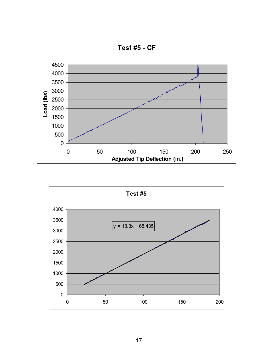

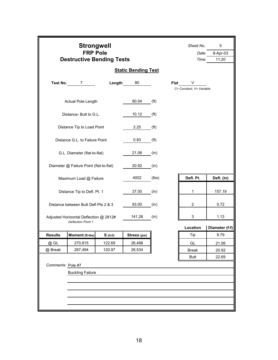|                   | <b>Strongwell</b><br><b>FRP Pole</b><br><b>Destructive Bending Tests</b> | <b>Static Bending Test</b> | Sheet No.<br>Date<br>Time | 5<br>8-Apr-03<br>11:20 |                          |                |
|-------------------|--------------------------------------------------------------------------|----------------------------|---------------------------|------------------------|--------------------------|----------------|
|                   | Test No. 7                                                               | Length                     | 80                        |                        | Flat V                   |                |
|                   | Actual Pole Length                                                       |                            | 80.04                     | (f <sup>t</sup> )      | C= Constant. V= Variable |                |
|                   | Distance- Butt to G.L.                                                   |                            | 10.12                     | (f <sup>t</sup> )      |                          |                |
|                   | Distance Tip to Load Point                                               |                            | 2.25                      | (f <sup>t</sup> )      |                          |                |
|                   | Distance G.L. to Failure Point                                           |                            | 0.83                      | (f <sup>t</sup> )      |                          |                |
|                   | G.L. Diameter (flat-to-flat)                                             |                            | 21.06                     | (in)                   |                          |                |
|                   | Diameter @ Failure Point (flat-to-flat)                                  |                            | 20.92                     | (in)                   |                          |                |
|                   | Maximum Load @ Failure                                                   |                            | 4002                      | (lbs)                  | Defl. Pt.                | Defl. (in)     |
|                   | Distance Tip to Defl. Pt. 1                                              |                            | 37.00                     | (in)                   | 1                        | 157.19         |
|                   | Distance between Butt Defl Pts 2 & 3                                     |                            | 93.00                     | (in)                   | $\overline{c}$           | 0.72           |
|                   | Adjusted Horizontal Deflection @ 2812#<br><b>Deflection Point 1</b>      |                            | 141.26                    | (in)                   | 3                        | 1.13           |
|                   |                                                                          |                            |                           |                        | Location                 | Diameter (f-f) |
| <b>Results</b>    | Moment (ft-lbs)                                                          | $S$ (in3)                  | Stress (psi)              |                        | Tip                      | 9.79           |
| @ GL              | 270,815                                                                  | 122.69                     | 26,488                    |                        | GL                       | 21.06          |
| @ Break           | 267,494                                                                  | 120.97                     | 26,534                    |                        | <b>Break</b>             | 20.92          |
|                   |                                                                          |                            |                           |                        | <b>Butt</b>              | 22.69          |
| Comments: Pole #7 |                                                                          |                            |                           |                        |                          |                |
|                   | <b>Buckling Failure</b>                                                  |                            |                           |                        |                          |                |
|                   |                                                                          |                            |                           |                        |                          |                |
|                   |                                                                          |                            |                           |                        |                          |                |
|                   |                                                                          |                            |                           |                        |                          |                |
|                   |                                                                          |                            |                           |                        |                          |                |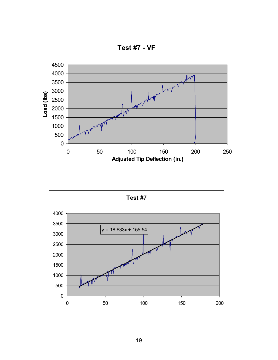

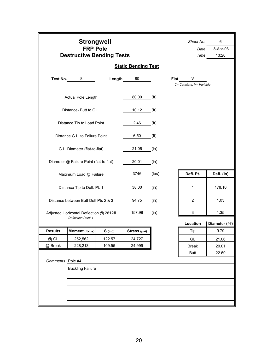|                   | <b>Strongwell</b><br><b>FRP Pole</b><br><b>Destructive Bending Tests</b> |           |                            | Sheet No.<br>Date<br>Time | 6<br>.8-Apr-03<br>13:20 |                               |                |
|-------------------|--------------------------------------------------------------------------|-----------|----------------------------|---------------------------|-------------------------|-------------------------------|----------------|
|                   |                                                                          |           | <b>Static Bending Test</b> |                           |                         |                               |                |
| Test No.          | 8                                                                        | Length    | 80                         |                           | <b>Flat</b>             | V<br>C= Constant, V= Variable |                |
|                   | Actual Pole Length                                                       |           | 80.00                      | (f <sup>t</sup> )         |                         |                               |                |
|                   | Distance-Butt to G.L.                                                    |           | 10.12                      | (f <sup>t</sup> )         |                         |                               |                |
|                   | Distance Tip to Load Point                                               |           | 2.46                       | (f <sup>t</sup> )         |                         |                               |                |
|                   | Distance G.L. to Failure Point                                           |           | 6.50                       | (f <sup>t</sup> )         |                         |                               |                |
|                   | G.L. Diameter (flat-to-flat)                                             |           | 21.06                      | (in)                      |                         |                               |                |
|                   | Diameter @ Failure Point (flat-to-flat)                                  |           | 20.01                      | (in)                      |                         |                               |                |
|                   | Maximum Load @ Failure                                                   |           | 3746                       | (lbs)                     |                         | Defl. Pt.                     | Defl. (in)     |
|                   | Distance Tip to Defl. Pt. 1                                              |           | 38.00                      | (in)                      |                         | $\mathbf{1}$                  | 178.10         |
|                   | Distance between Butt Defl Pts 2 & 3                                     |           | 94.75                      | (in)                      |                         | 2                             | 1.03           |
|                   | Adjusted Horizontal Deflection @ 2812#<br><b>Deflection Point 1</b>      |           | 157.98                     | (in)                      |                         | 3                             | 1.35           |
|                   |                                                                          |           |                            |                           |                         | Location                      | Diameter (f-f) |
| <b>Results</b>    | Moment (ft-Ibs)                                                          | $S$ (in3) | Stress (psi)               |                           |                         | Tip                           | 9.79           |
| @ GL              | 252,562                                                                  | 122.57    | 24,727                     |                           |                         | GL                            | 21.06          |
| @ Break           | 228,213                                                                  | 109.55    | 24,999                     |                           |                         | <b>Break</b>                  | 20.01          |
|                   |                                                                          |           |                            |                           |                         | <b>Butt</b>                   | 22.69          |
| Comments: Pole #4 |                                                                          |           |                            |                           |                         |                               |                |
|                   | <b>Buckling Failure</b>                                                  |           |                            |                           |                         |                               |                |
|                   |                                                                          |           |                            |                           |                         |                               |                |
|                   |                                                                          |           |                            |                           |                         |                               |                |
|                   |                                                                          |           |                            |                           |                         |                               |                |
|                   |                                                                          |           |                            |                           |                         |                               |                |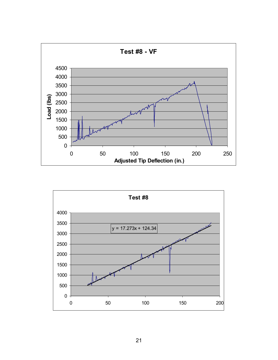

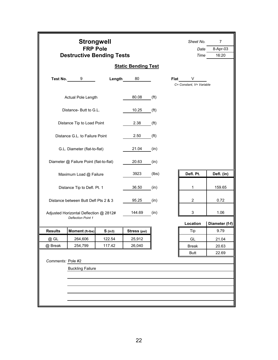|                   | <b>Strongwell</b><br><b>FRP Pole</b><br><b>Destructive Bending Tests</b> |           |                            | Sheet No.<br>Date<br>Time | $\overline{7}$<br>8-Apr-03<br>16:20 |                               |                |
|-------------------|--------------------------------------------------------------------------|-----------|----------------------------|---------------------------|-------------------------------------|-------------------------------|----------------|
|                   |                                                                          |           | <b>Static Bending Test</b> |                           |                                     |                               |                |
| Test No.          | 9                                                                        | Length    | 80                         |                           | Flat                                | V<br>C= Constant, V= Variable |                |
|                   | Actual Pole Length                                                       |           | 80.08                      | (f <sup>t</sup> )         |                                     |                               |                |
|                   | Distance- Butt to G.L.                                                   |           | 10.25                      | (f <sup>t</sup> )         |                                     |                               |                |
|                   | Distance Tip to Load Point                                               | 2.38      | (f <sup>t</sup> )          |                           |                                     |                               |                |
|                   | Distance G.L. to Failure Point                                           | 2.50      | (f <sup>t</sup> )          |                           |                                     |                               |                |
|                   | G.L. Diameter (flat-to-flat)                                             |           | 21.04                      | (in)                      |                                     |                               |                |
|                   | Diameter @ Failure Point (flat-to-flat)                                  |           | 20.63                      | (in)                      |                                     |                               |                |
|                   | Maximum Load @ Failure                                                   |           | 3923                       | (lbs)                     |                                     | Defl. Pt.                     | Defl. (in)     |
|                   | Distance Tip to Defl. Pt. 1                                              |           | 36.50                      | (in)                      |                                     | 1                             | 159.65         |
|                   | Distance between Butt Defl Pts 2 & 3                                     |           | 95.25                      | (in)                      |                                     | $\overline{2}$                | 0.72           |
|                   | Adjusted Horizontal Deflection @ 2812#<br><b>Deflection Point 1</b>      |           | 144.69                     | (in)                      |                                     | 3                             | 1.06           |
|                   |                                                                          |           |                            |                           |                                     | Location                      | Diameter (f-f) |
| <b>Results</b>    | Moment (ft-Ibs)                                                          | $S$ (in3) | Stress (psi)               |                           |                                     | Tip                           | 9.79           |
| @ GL              | 264,606                                                                  | 122.54    | 25,912                     |                           |                                     | GL                            | 21.04          |
| @ Break           | 254,799                                                                  | 117.42    | 26,040                     |                           |                                     | <b>Break</b>                  | 20.63          |
|                   |                                                                          |           |                            |                           |                                     | <b>Butt</b>                   | 22.69          |
| Comments: Pole #2 |                                                                          |           |                            |                           |                                     |                               |                |
|                   | <b>Buckling Failure</b>                                                  |           |                            |                           |                                     |                               |                |
|                   |                                                                          |           |                            |                           |                                     |                               |                |
|                   |                                                                          |           |                            |                           |                                     |                               |                |
|                   |                                                                          |           |                            |                           |                                     |                               |                |
|                   |                                                                          |           |                            |                           |                                     |                               |                |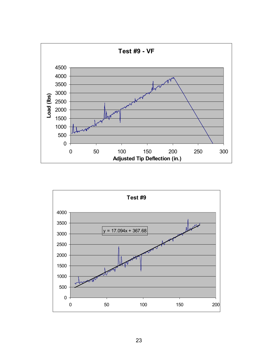

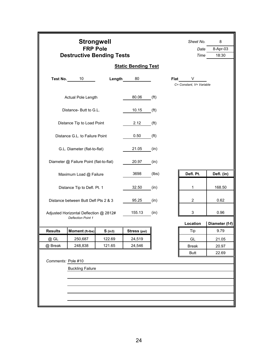|                    | <b>Strongwell</b><br><b>FRP Pole</b><br><b>Destructive Bending Tests</b> |           |                            | Sheet No.<br>Date<br>Time | 8<br>8-Apr-03<br>18:30 |                               |                |
|--------------------|--------------------------------------------------------------------------|-----------|----------------------------|---------------------------|------------------------|-------------------------------|----------------|
|                    |                                                                          |           | <b>Static Bending Test</b> |                           |                        |                               |                |
| Test No.           | 10                                                                       | Length    | 80                         |                           | <b>Flat</b>            | V<br>C= Constant, V= Variable |                |
|                    | <b>Actual Pole Length</b>                                                |           | 80.06                      | (f <sup>t</sup> )         |                        |                               |                |
|                    | Distance-Butt to G.L.                                                    |           | 10.15                      | (f <sup>t</sup> )         |                        |                               |                |
|                    | Distance Tip to Load Point                                               |           | 2.12                       | (f <sup>t</sup> )         |                        |                               |                |
|                    | Distance G.L. to Failure Point                                           |           | 0.50                       | (f <sup>t</sup> )         |                        |                               |                |
|                    | G.L. Diameter (flat-to-flat)                                             |           | 21.05                      | (in)                      |                        |                               |                |
|                    | Diameter @ Failure Point (flat-to-flat)                                  |           | 20.97                      | (in)                      |                        |                               |                |
|                    | Maximum Load @ Failure                                                   |           | 3698                       | (lbs)                     |                        | Defl. Pt.                     | Defl. (in)     |
|                    | Distance Tip to Defl. Pt. 1                                              |           | 32.50                      | (in)                      |                        | $\mathbf{1}$                  | 168.50         |
|                    | Distance between Butt Defl Pts 2 & 3                                     |           | 95.25                      | (in)                      |                        | 2                             | 0.62           |
|                    | Adjusted Horizontal Deflection @ 2812#<br><b>Deflection Point 1</b>      |           | 155.13                     | (in)                      |                        | 3                             | 0.96           |
|                    |                                                                          |           |                            |                           |                        | Location                      | Diameter (f-f) |
| <b>Results</b>     | Moment (ft-Ibs)                                                          | $S$ (in3) | Stress (psi)               |                           |                        | Tip                           | 9.79           |
| @ GL               | 250,687                                                                  | 122.69    | 24,519                     |                           |                        | GL                            | 21.05          |
| @ Break            | 248,838                                                                  | 121.65    | 24,546                     |                           |                        | <b>Break</b>                  | 20.97          |
|                    |                                                                          |           |                            |                           |                        | <b>Butt</b>                   | 22.69          |
| Comments: Pole #10 |                                                                          |           |                            |                           |                        |                               |                |
|                    | <b>Buckling Failure</b>                                                  |           |                            |                           |                        |                               |                |
|                    |                                                                          |           |                            |                           |                        |                               |                |
|                    |                                                                          |           |                            |                           |                        |                               |                |
|                    |                                                                          |           |                            |                           |                        |                               |                |
|                    |                                                                          |           |                            |                           |                        |                               |                |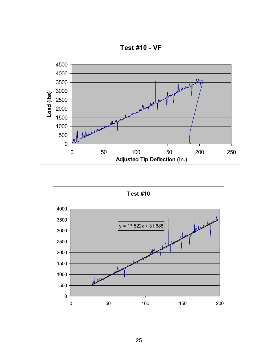

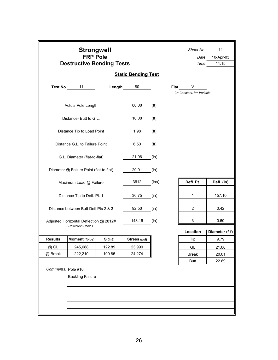|                    | <b>Strongwell</b><br><b>FRP Pole</b><br><b>Destructive Bending Tests</b> |           |                            | Sheet No.<br>Date<br>Time | 11<br>10-Apr-03<br>11:15 |                               |                |
|--------------------|--------------------------------------------------------------------------|-----------|----------------------------|---------------------------|--------------------------|-------------------------------|----------------|
|                    |                                                                          |           | <b>Static Bending Test</b> |                           |                          |                               |                |
| Test No.           | 11                                                                       | Length    | 80                         |                           | Flat                     | V<br>C= Constant, V= Variable |                |
|                    | Actual Pole Length                                                       |           | 80.08                      | (f <sup>t</sup> )         |                          |                               |                |
|                    | Distance- Butt to G.L.                                                   |           | 10.08                      | (f <sup>t</sup> )         |                          |                               |                |
|                    | Distance Tip to Load Point                                               |           | 1.98                       | (f <sup>t</sup> )         |                          |                               |                |
|                    | Distance G.L. to Failure Point                                           |           | 6.50                       | (f <sup>t</sup> )         |                          |                               |                |
|                    | G.L. Diameter (flat-to-flat)                                             |           | 21.06                      | (in)                      |                          |                               |                |
|                    | Diameter @ Failure Point (flat-to-flat)                                  |           | 20.01                      | (in)                      |                          |                               |                |
|                    | Maximum Load @ Failure                                                   |           | 3612                       | (lbs)                     |                          | Defl. Pt.                     | Defl. (in)     |
|                    | Distance Tip to Defl. Pt. 1                                              |           | 30.75                      | (in)                      |                          | 1                             | 157.10         |
|                    | Distance between Butt Defl Pts 2 & 3                                     |           | 92.50                      | (in)                      |                          | $\overline{c}$                | 0.42           |
|                    | Adjusted Horizontal Deflection @ 2812#<br><b>Deflection Point 1</b>      |           | 148.16                     | (in)                      |                          | 3                             | 0.60           |
|                    |                                                                          |           |                            |                           |                          | Location                      | Diameter (f-f) |
| <b>Results</b>     | Moment (ft-Ibs)                                                          | $S$ (in3) | Stress (psi)               |                           |                          | Tip                           | 9.79           |
| @ GL               | 245,688                                                                  | 122.89    | 23,990                     |                           |                          | GL                            | 21.06          |
| @ Break            | 222,210                                                                  | 109.85    | 24,274                     |                           |                          | <b>Break</b>                  | 20.01          |
| Comments: Pole #10 |                                                                          |           |                            |                           |                          | <b>Butt</b>                   | 22.69          |
|                    | <b>Buckling Failure</b>                                                  |           |                            |                           |                          |                               |                |
|                    |                                                                          |           |                            |                           |                          |                               |                |
|                    |                                                                          |           |                            |                           |                          |                               |                |
|                    |                                                                          |           |                            |                           |                          |                               |                |
|                    |                                                                          |           |                            |                           |                          |                               |                |
|                    |                                                                          |           |                            |                           |                          |                               |                |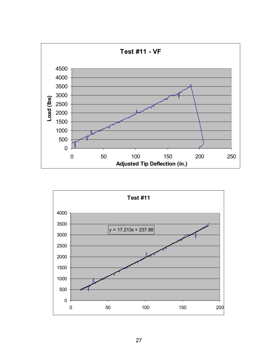

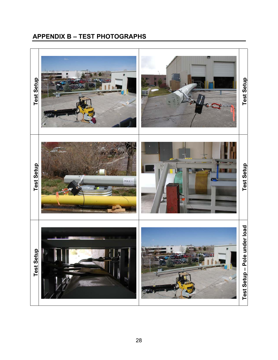# **APPENDIX B – TEST PHOTOGRAPHS**

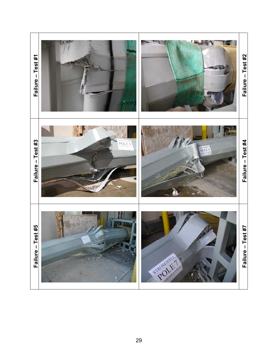